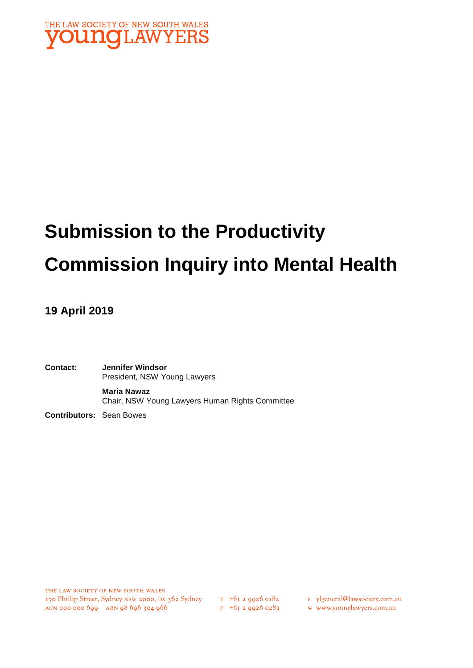

## **Submission to the Productivity Commission Inquiry into Mental Health**

#### **19 April 2019**

**Contact: Jennifer Windsor**  President, NSW Young Lawyers **Maria Nawaz** Chair, NSW Young Lawyers Human Rights Committee

**Contributors:** Sean Bowes

THE LAW SOCIETY OF NEW SOUTH WALES 170 Phillip Street, Sydney NSW 2000, DX 362 Sydney  $\frac{\pi}{5}$  +61 2 9926 0182 E ylgeneral@lawsociety.com.au ACN 000 000 699 ABN 98 696 304 966 F +61 2 9926 0282 W www.younglawyers.com.au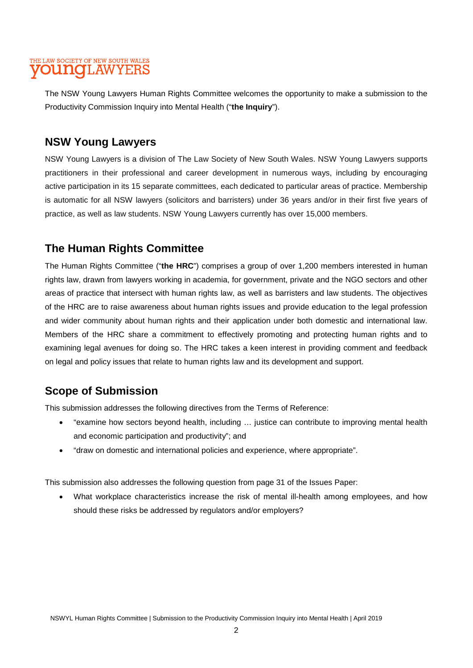The NSW Young Lawyers Human Rights Committee welcomes the opportunity to make a submission to the Productivity Commission Inquiry into Mental Health ("**the Inquiry**").

#### **NSW Young Lawyers**

NSW Young Lawyers is a division of The Law Society of New South Wales. NSW Young Lawyers supports practitioners in their professional and career development in numerous ways, including by encouraging active participation in its 15 separate committees, each dedicated to particular areas of practice. Membership is automatic for all NSW lawyers (solicitors and barristers) under 36 years and/or in their first five years of practice, as well as law students. NSW Young Lawyers currently has over 15,000 members.

#### **The Human Rights Committee**

The Human Rights Committee ("**the HRC**") comprises a group of over 1,200 members interested in human rights law, drawn from lawyers working in academia, for government, private and the NGO sectors and other areas of practice that intersect with human rights law, as well as barristers and law students. The objectives of the HRC are to raise awareness about human rights issues and provide education to the legal profession and wider community about human rights and their application under both domestic and international law. Members of the HRC share a commitment to effectively promoting and protecting human rights and to examining legal avenues for doing so. The HRC takes a keen interest in providing comment and feedback on legal and policy issues that relate to human rights law and its development and support.

#### **Scope of Submission**

This submission addresses the following directives from the Terms of Reference:

- "examine how sectors beyond health, including … justice can contribute to improving mental health and economic participation and productivity"; and
- "draw on domestic and international policies and experience, where appropriate".

This submission also addresses the following question from page 31 of the Issues Paper:

• What workplace characteristics increase the risk of mental ill-health among employees, and how should these risks be addressed by regulators and/or employers?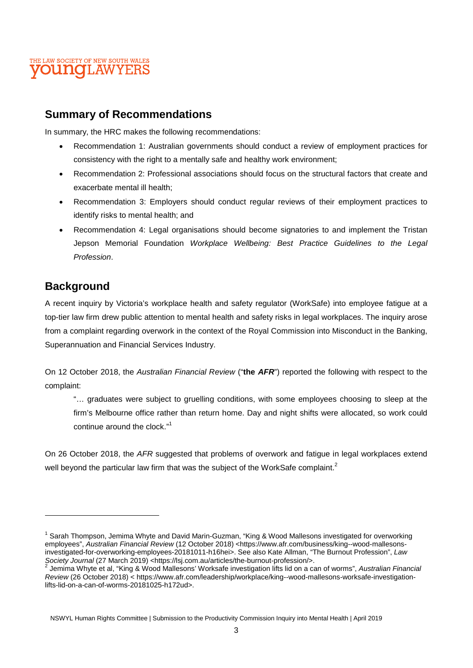

#### **Summary of Recommendations**

In summary, the HRC makes the following recommendations:

- Recommendation 1: Australian governments should conduct a review of employment practices for consistency with the right to a mentally safe and healthy work environment;
- Recommendation 2: Professional associations should focus on the structural factors that create and exacerbate mental ill health;
- Recommendation 3: Employers should conduct regular reviews of their employment practices to identify risks to mental health; and
- Recommendation 4: Legal organisations should become signatories to and implement the Tristan Jepson Memorial Foundation *Workplace Wellbeing: Best Practice Guidelines to the Legal Profession*.

#### **Background**

A recent inquiry by Victoria's workplace health and safety regulator (WorkSafe) into employee fatigue at a top-tier law firm drew public attention to mental health and safety risks in legal workplaces. The inquiry arose from a complaint regarding overwork in the context of the Royal Commission into Misconduct in the Banking, Superannuation and Financial Services Industry.

On 12 October 2018, the *Australian Financial Review* ("**the** *AFR*") reported the following with respect to the complaint:

"… graduates were subject to gruelling conditions, with some employees choosing to sleep at the firm's Melbourne office rather than return home. Day and night shifts were allocated, so work could continue around the clock."<sup>1</sup>

On 26 October 2018, the *AFR* suggested that problems of overwork and fatigue in legal workplaces extend well beyond the particular law firm that was the subject of the WorkSafe complaint.<sup>2</sup>

<sup>&</sup>lt;sup>1</sup> Sarah Thompson, Jemima Whyte and David Marin-Guzman, "King & Wood Mallesons investigated for overworking employees", Australian Financial Review (12 October 2018) <https://www.afr.com/business/king--wood-mallesonsinvestigated-for-overworking-employees-20181011-h16hei>. See also Kate Allman, "The Burnout Profession", *Law*  Society Journal (27 March 2019) <https://lsj.com.au/articles/the-burnout-profession/>.<br><sup>2</sup> Jamima Whyte at al. "King & Waad Mallesone" Warkagfa investigation lifte lid an a se

Jemima Whyte et al, "King & Wood Mallesons' Worksafe investigation lifts lid on a can of worms", *Australian Financial Review* (26 October 2018) < https://www.afr.com/leadership/workplace/king--wood-mallesons-worksafe-investigationlifts-lid-on-a-can-of-worms-20181025-h172ud>.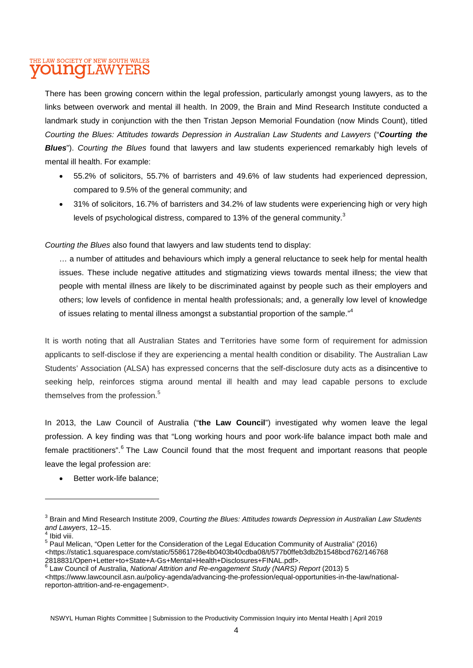There has been growing concern within the legal profession, particularly amongst young lawyers, as to the links between overwork and mental ill health. In 2009, the Brain and Mind Research Institute conducted a landmark study in conjunction with the then Tristan Jepson Memorial Foundation (now Minds Count), titled *Courting the Blues: Attitudes towards Depression in Australian Law Students and Lawyers* ("*Courting the Blues*"). *Courting the Blues* found that lawyers and law students experienced remarkably high levels of mental ill health. For example:

- 55.2% of solicitors, 55.7% of barristers and 49.6% of law students had experienced depression, compared to 9.5% of the general community; and
- 31% of solicitors, 16.7% of barristers and 34.2% of law students were experiencing high or very high levels of psychological distress, compared to 13% of the general community.<sup>3</sup>

*Courting the Blues* also found that lawyers and law students tend to display:

… a number of attitudes and behaviours which imply a general reluctance to seek help for mental health issues. These include negative attitudes and stigmatizing views towards mental illness; the view that people with mental illness are likely to be discriminated against by people such as their employers and others; low levels of confidence in mental health professionals; and, a generally low level of knowledge of issues relating to mental illness amongst a substantial proportion of the sample."<sup>4</sup>

It is worth noting that all Australian States and Territories have some form of requirement for admission applicants to self-disclose if they are experiencing a mental health condition or disability. The Australian Law Students' Association (ALSA) has expressed concerns that the self-disclosure duty acts as a disincentive to seeking help, reinforces stigma around mental ill health and may lead capable persons to exclude themselves from the profession.<sup>5</sup>

In 2013, the Law Council of Australia ("**the Law Council**") investigated why women leave the legal profession. A key finding was that "Long working hours and poor work-life balance impact both male and female practitioners".<sup>6</sup> The Law Council found that the most frequent and important reasons that people leave the legal profession are:

Better work-life balance;

<sup>&</sup>lt;sup>3</sup> Brain and Mind Research Institute 2009, *Courting the Blues: Attitudes towards Depression in Australian Law Students and Lawyers*, 12–15.

<sup>4</sup> Ibid viii.

<sup>&</sup>lt;sup>5</sup> Paul Melican, "Open Letter for the Consideration of the Legal Education Community of Australia" (2016) <https://static1.squarespace.com/static/55861728e4b0403b40cdba08/t/577b0ffeb3db2b1548bcd762/146768

<sup>2818831/</sup>Open+Letter+to+State+A-Gs+Mental+Health+Disclosures+FINAL.pdf>.<br><sup>6</sup> Law Council of Australia, *National Attrition and Re-engagement Study (NARS) Report* (2013) 5

<sup>&</sup>lt;https://www.lawcouncil.asn.au/policy-agenda/advancing-the-profession/equal-opportunities-in-the-law/nationalreporton-attrition-and-re-engagement>.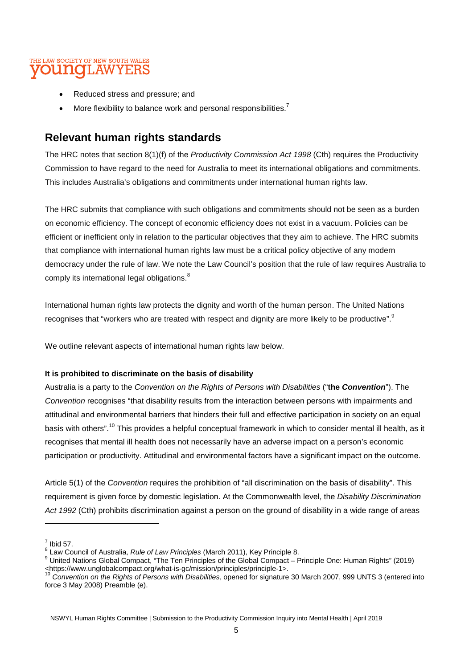- Reduced stress and pressure; and
- More flexibility to balance work and personal responsibilities.<sup>7</sup>

#### **Relevant human rights standards**

The HRC notes that section 8(1)(f) of the *Productivity Commission Act 1998* (Cth) requires the Productivity Commission to have regard to the need for Australia to meet its international obligations and commitments. This includes Australia's obligations and commitments under international human rights law.

The HRC submits that compliance with such obligations and commitments should not be seen as a burden on economic efficiency. The concept of economic efficiency does not exist in a vacuum. Policies can be efficient or inefficient only in relation to the particular objectives that they aim to achieve. The HRC submits that compliance with international human rights law must be a critical policy objective of any modern democracy under the rule of law. We note the Law Council's position that the rule of law requires Australia to comply its international legal obligations.<sup>8</sup>

International human rights law protects the dignity and worth of the human person. The United Nations recognises that "workers who are treated with respect and dignity are more likely to be productive".<sup>9</sup>

We outline relevant aspects of international human rights law below.

#### **It is prohibited to discriminate on the basis of disability**

Australia is a party to the *Convention on the Rights of Persons with Disabilities* ("**the** *Convention*"). The *Convention* recognises "that disability results from the interaction between persons with impairments and attitudinal and environmental barriers that hinders their full and effective participation in society on an equal basis with others".<sup>10</sup> This provides a helpful conceptual framework in which to consider mental ill health, as it recognises that mental ill health does not necessarily have an adverse impact on a person's economic participation or productivity. Attitudinal and environmental factors have a significant impact on the outcome.

Article 5(1) of the *Convention* requires the prohibition of "all discrimination on the basis of disability". This requirement is given force by domestic legislation. At the Commonwealth level, the *Disability Discrimination Act 1992* (Cth) prohibits discrimination against a person on the ground of disability in a wide range of areas

 $\frac{7}{1}$  Ibid 57.

<sup>8</sup> Law Council of Australia, *Rule of Law Principles* (March 2011), Key Principle 8.

<sup>&</sup>lt;sup>9</sup> United Nations Global Compact, "The Ten Principles of the Global Compact – Principle One: Human Rights" (2019) <https://www.unglobalcompact.org/what-is-gc/mission/principles/principle-1>.

<sup>10</sup> *Convention on the Rights of Persons with Disabilities*, opened for signature 30 March 2007, 999 UNTS 3 (entered into force 3 May 2008) Preamble (e).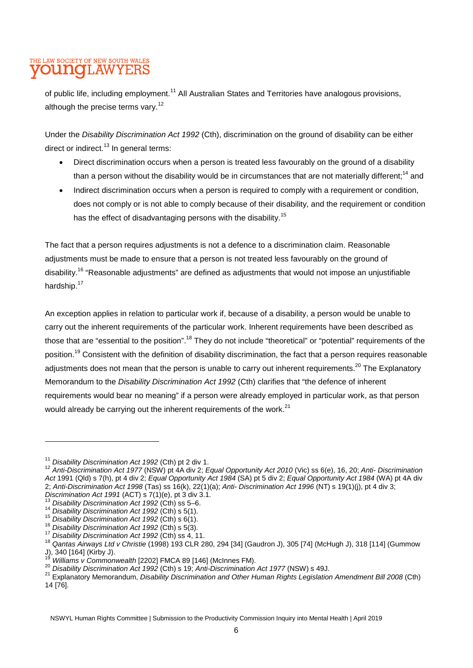of public life, including employment.<sup>11</sup> All Australian States and Territories have analogous provisions, although the precise terms vary.<sup>12</sup>

Under the *Disability Discrimination Act 1992* (Cth), discrimination on the ground of disability can be either direct or indirect.<sup>13</sup> In general terms:

- Direct discrimination occurs when a person is treated less favourably on the ground of a disability than a person without the disability would be in circumstances that are not materially different:<sup>14</sup> and
- Indirect discrimination occurs when a person is required to comply with a requirement or condition, does not comply or is not able to comply because of their disability, and the requirement or condition has the effect of disadvantaging persons with the disability.<sup>15</sup>

The fact that a person requires adjustments is not a defence to a discrimination claim. Reasonable adjustments must be made to ensure that a person is not treated less favourably on the ground of disability.<sup>16</sup> "Reasonable adjustments" are defined as adjustments that would not impose an unjustifiable hardship.<sup>17</sup>

An exception applies in relation to particular work if, because of a disability, a person would be unable to carry out the inherent requirements of the particular work. Inherent requirements have been described as those that are "essential to the position".<sup>18</sup> They do not include "theoretical" or "potential" requirements of the position.<sup>19</sup> Consistent with the definition of disability discrimination, the fact that a person requires reasonable adjustments does not mean that the person is unable to carry out inherent requirements.<sup>20</sup> The Explanatory Memorandum to the *Disability Discrimination Act 1992* (Cth) clarifies that "the defence of inherent requirements would bear no meaning" if a person were already employed in particular work, as that person would already be carrying out the inherent requirements of the work.<sup>21</sup>

<sup>11</sup> *Disability Discrimination Act 1992* (Cth) pt 2 div 1.

<sup>12</sup> *Anti-Discrimination Act 1977* (NSW) pt 4A div 2; *Equal Opportunity Act 2010* (Vic) ss 6(e), 16, 20; *Anti- Discrimination Act* 1991 (Qld) s 7(h), pt 4 div 2; *Equal Opportunity Act 1984* (SA) pt 5 div 2; *Equal Opportunity Act 1984* (WA) pt 4A div 2; *Anti-Discrimination Act 1998* (Tas) ss 16(k), 22(1)(a); *Anti- Discrimination Act 1996* (NT) s 19(1)(j), pt 4 div 3; *Discrimination Act 1991* (ACT) s 7(1)(e), pt 3 div 3.1.

<sup>13</sup> *Disability Discrimination Act 1992* (Cth) ss 5–6.

<sup>14</sup> *Disability Discrimination Act 1992* (Cth) s 5(1).

<sup>15</sup> *Disability Discrimination Act 1992* (Cth) s 6(1).

<sup>16</sup> *Disability Discrimination Act 1992* (Cth) s 5(3).

<sup>17</sup> *Disability Discrimination Act 1992* (Cth) ss 4, 11.

<sup>18</sup> *Qantas Airways Ltd v Christie* (1998) 193 CLR 280, 294 [34] (Gaudron J), 305 [74] (McHugh J), 318 [114] (Gummow J), 340 [164] (Kirby J).

<sup>19</sup> *Williams v Commonwealth* [2202] FMCA 89 [146] (McInnes FM).

<sup>20</sup> *Disability Discrimination Act 1992* (Cth) s 19; *Anti-Discrimination Act 1977* (NSW) s 49J.

<sup>21</sup> Explanatory Memorandum, *Disability Discrimination and Other Human Rights Legislation Amendment Bill 2008* (Cth) 14 [76].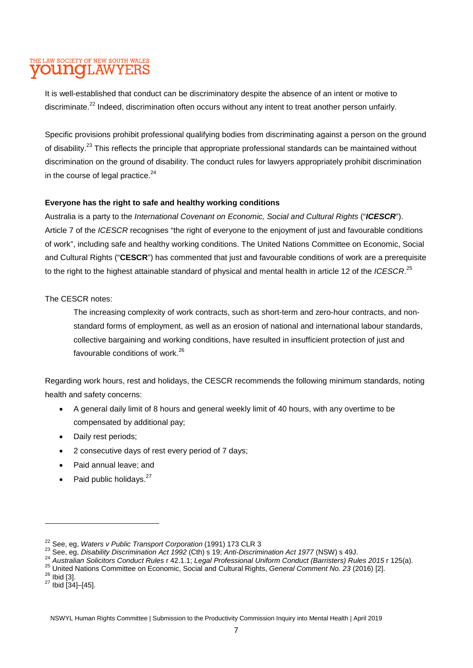It is well-established that conduct can be discriminatory despite the absence of an intent or motive to discriminate.<sup>22</sup> Indeed, discrimination often occurs without any intent to treat another person unfairly.

Specific provisions prohibit professional qualifying bodies from discriminating against a person on the ground of disability.<sup>23</sup> This reflects the principle that appropriate professional standards can be maintained without discrimination on the ground of disability. The conduct rules for lawyers appropriately prohibit discrimination in the course of legal practice. $24$ 

#### **Everyone has the right to safe and healthy working conditions**

Australia is a party to the *International Covenant on Economic, Social and Cultural Rights* ("*ICESCR*"). Article 7 of the *ICESCR* recognises "the right of everyone to the enjoyment of just and favourable conditions of work", including safe and healthy working conditions. The United Nations Committee on Economic, Social and Cultural Rights ("**CESCR**") has commented that just and favourable conditions of work are a prerequisite to the right to the highest attainable standard of physical and mental health in article 12 of the *ICESCR*. 25

The CESCR notes:

The increasing complexity of work contracts, such as short-term and zero-hour contracts, and nonstandard forms of employment, as well as an erosion of national and international labour standards, collective bargaining and working conditions, have resulted in insufficient protection of just and favourable conditions of work.<sup>26</sup>

Regarding work hours, rest and holidays, the CESCR recommends the following minimum standards, noting health and safety concerns:

- A general daily limit of 8 hours and general weekly limit of 40 hours, with any overtime to be compensated by additional pay;
- Daily rest periods;
- 2 consecutive days of rest every period of 7 days;
- Paid annual leave; and
- Paid public holidays.<sup>27</sup>

<sup>22</sup> See, eg, *Waters v Public Transport Corporation* (1991) 173 CLR 3

<sup>23</sup> See, eg, *Disability Discrimination Act 1992* (Cth) s 19; *Anti-Discrimination Act 1977* (NSW) s 49J.

<sup>24</sup> *Australian Solicitors Conduct Rules* r 42.1.1; *Legal Professional Uniform Conduct (Barristers) Rules 2015* r 125(a).

<sup>25</sup> United Nations Committee on Economic, Social and Cultural Rights, *General Comment No. 23* (2016) [2].  $26$  Ibid [3].

 $27$  Ibid [34]-[45].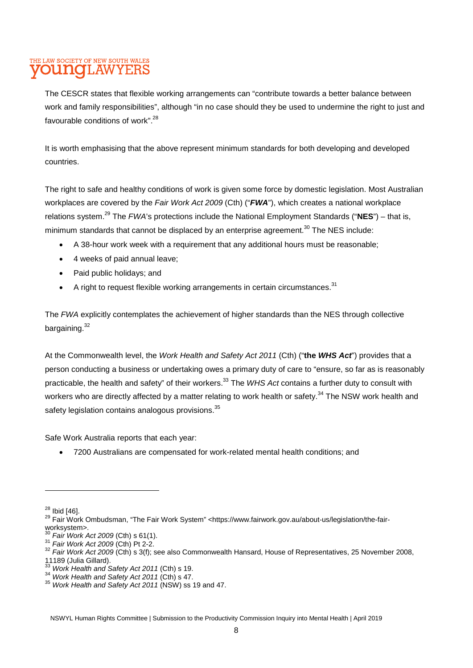The CESCR states that flexible working arrangements can "contribute towards a better balance between work and family responsibilities", although "in no case should they be used to undermine the right to just and favourable conditions of work".<sup>28</sup>

It is worth emphasising that the above represent minimum standards for both developing and developed countries.

The right to safe and healthy conditions of work is given some force by domestic legislation. Most Australian workplaces are covered by the *Fair Work Act 2009* (Cth) ("*FWA*"), which creates a national workplace relations system.<sup>29</sup> The *FWA*'s protections include the National Employment Standards ("**NES**") – that is, minimum standards that cannot be displaced by an enterprise agreement.<sup>30</sup> The NES include:

- A 38-hour work week with a requirement that any additional hours must be reasonable;
- 4 weeks of paid annual leave;
- Paid public holidays; and
- $\bullet$  A right to request flexible working arrangements in certain circumstances.<sup>31</sup>

The *FWA* explicitly contemplates the achievement of higher standards than the NES through collective bargaining. $32$ 

At the Commonwealth level, the *Work Health and Safety Act 2011* (Cth) ("**the** *WHS Act*") provides that a person conducting a business or undertaking owes a primary duty of care to "ensure, so far as is reasonably practicable, the health and safety" of their workers.<sup>33</sup> The *WHS Act* contains a further duty to consult with workers who are directly affected by a matter relating to work health or safety.<sup>34</sup> The NSW work health and safety legislation contains analogous provisions.<sup>35</sup>

Safe Work Australia reports that each year:

• 7200 Australians are compensated for work-related mental health conditions; and

<sup>34</sup> *Work Health and Safety Act 2011* (Cth) s 47.

 $28$  Ibid [46].

<sup>29</sup> Fair Work Ombudsman, "The Fair Work System" <https://www.fairwork.gov.au/about-us/legislation/the-fairworksystem>.

<sup>30</sup> *Fair Work Act 2009* (Cth) s 61(1).

<sup>31</sup> *Fair Work Act 2009* (Cth) Pt 2-2.

<sup>32</sup> *Fair Work Act 2009* (Cth) s 3(f); see also Commonwealth Hansard, House of Representatives, 25 November 2008,  $11189$  (Julia Gillard).

<sup>33</sup> *Work Health and Safety Act 2011* (Cth) s 19.

<sup>35</sup> *Work Health and Safety Act 2011* (NSW) ss 19 and 47.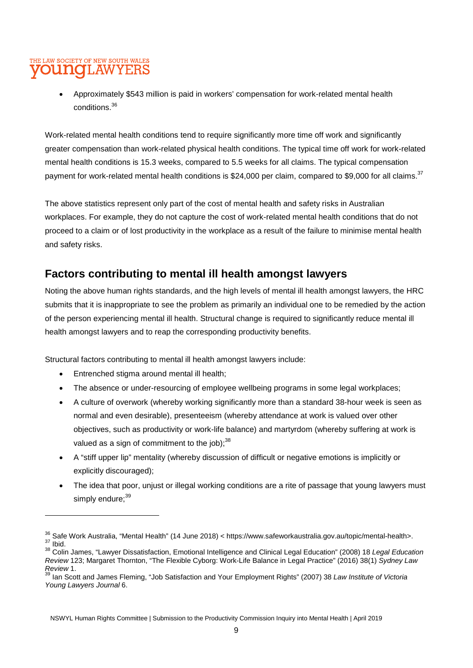#### THE LAW SOCIETY OF NEW SOUTH WALES **younq**LAWYERS

• Approximately \$543 million is paid in workers' compensation for work-related mental health conditions.<sup>36</sup>

Work-related mental health conditions tend to require significantly more time off work and significantly greater compensation than work-related physical health conditions. The typical time off work for work-related mental health conditions is 15.3 weeks, compared to 5.5 weeks for all claims. The typical compensation payment for work-related mental health conditions is \$24,000 per claim, compared to \$9,000 for all claims.<sup>37</sup>

The above statistics represent only part of the cost of mental health and safety risks in Australian workplaces. For example, they do not capture the cost of work-related mental health conditions that do not proceed to a claim or of lost productivity in the workplace as a result of the failure to minimise mental health and safety risks.

#### **Factors contributing to mental ill health amongst lawyers**

Noting the above human rights standards, and the high levels of mental ill health amongst lawyers, the HRC submits that it is inappropriate to see the problem as primarily an individual one to be remedied by the action of the person experiencing mental ill health. Structural change is required to significantly reduce mental ill health amongst lawyers and to reap the corresponding productivity benefits.

Structural factors contributing to mental ill health amongst lawyers include:

- Entrenched stigma around mental ill health;
- The absence or under-resourcing of employee wellbeing programs in some legal workplaces;
- A culture of overwork (whereby working significantly more than a standard 38-hour week is seen as normal and even desirable), presenteeism (whereby attendance at work is valued over other objectives, such as productivity or work-life balance) and martyrdom (whereby suffering at work is valued as a sign of commitment to the job); $^{38}$
- A "stiff upper lip" mentality (whereby discussion of difficult or negative emotions is implicitly or explicitly discouraged);
- The idea that poor, unjust or illegal working conditions are a rite of passage that young lawyers must simply endure: $39$

<sup>36</sup> Safe Work Australia, "Mental Health" (14 June 2018) < https://www.safeworkaustralia.gov.au/topic/mental-health>.  $37$  Ibid.

<sup>38</sup> Colin James, "Lawyer Dissatisfaction, Emotional Intelligence and Clinical Legal Education" (2008) 18 *Legal Education Review* 123; Margaret Thornton, "The Flexible Cyborg: Work-Life Balance in Legal Practice" (2016) 38(1) *Sydney Law Review* 1.

<sup>39</sup> Ian Scott and James Fleming, "Job Satisfaction and Your Employment Rights" (2007) 38 *Law Institute of Victoria Young Lawyers Journal* 6.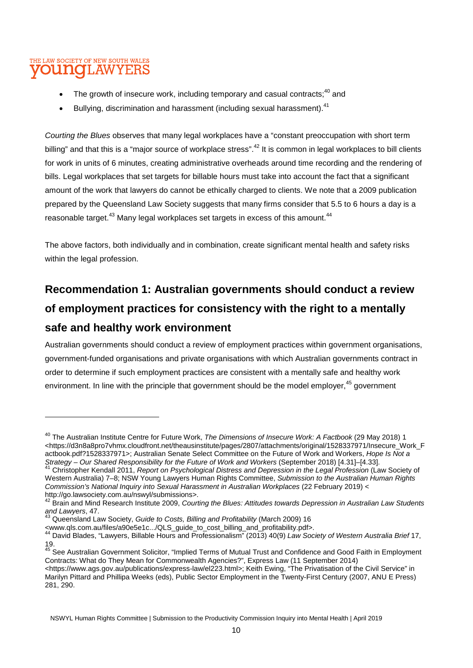- The growth of insecure work, including temporary and casual contracts: $40$  and
- Bullying, discrimination and harassment (including sexual harassment).<sup>41</sup>

*Courting the Blues* observes that many legal workplaces have a "constant preoccupation with short term billing" and that this is a "major source of workplace stress".<sup>42</sup> It is common in legal workplaces to bill clients for work in units of 6 minutes, creating administrative overheads around time recording and the rendering of bills. Legal workplaces that set targets for billable hours must take into account the fact that a significant amount of the work that lawyers do cannot be ethically charged to clients. We note that a 2009 publication prepared by the Queensland Law Society suggests that many firms consider that 5.5 to 6 hours a day is a reasonable target.<sup>43</sup> Many legal workplaces set targets in excess of this amount.<sup>44</sup>

The above factors, both individually and in combination, create significant mental health and safety risks within the legal profession.

## **Recommendation 1: Australian governments should conduct a review of employment practices for consistency with the right to a mentally safe and healthy work environment**

Australian governments should conduct a review of employment practices within government organisations, government-funded organisations and private organisations with which Australian governments contract in order to determine if such employment practices are consistent with a mentally safe and healthy work environment. In line with the principle that government should be the model employer.<sup>45</sup> government

<www.qls.com.au/files/a90e5e1c.../QLS\_guide\_to\_cost\_billing\_and\_profitability.pdf>.

<sup>45</sup> See Australian Government Solicitor, "Implied Terms of Mutual Trust and Confidence and Good Faith in Employment Contracts: What do They Mean for Commonwealth Agencies?", Express Law (11 September 2014) <https://www.ags.gov.au/publications/express-law/el223.html>; Keith Ewing, "The Privatisation of the Civil Service" in Marilyn Pittard and Phillipa Weeks (eds), Public Sector Employment in the Twenty-First Century (2007, ANU E Press) 281, 290.

<sup>40</sup> The Australian Institute Centre for Future Work, *The Dimensions of Insecure Work: A Factbook* (29 May 2018) 1 <https://d3n8a8pro7vhmx.cloudfront.net/theausinstitute/pages/2807/attachments/original/1528337971/Insecure\_Work\_F actbook.pdf?1528337971>; Australian Senate Select Committee on the Future of Work and Workers, *Hope Is Not a Strategy – Our Shared Responsibility for the Future of Work and Workers* (September 2018) [4.31]–[4.33].

<sup>41</sup> Christopher Kendall 2011, *Report on Psychological Distress and Depression in the Legal Profession* (Law Society of Western Australia) 7–8; NSW Young Lawyers Human Rights Committee, *Submission to the Australian Human Rights Commission's National Inquiry into Sexual Harassment in Australian Workplaces* (22 February 2019) < http://go.lawsociety.com.au/nswyl/submissions>.

<sup>42</sup> Brain and Mind Research Institute 2009, *Courting the Blues: Attitudes towards Depression in Australian Law Students and Lawyers*, 47.

<sup>43</sup> Queensland Law Society, *Guide to Costs, Billing and Profitability* (March 2009) 16

<sup>44</sup> David Blades, "Lawyers, Billable Hours and Professionalism" (2013) 40(9) *Law Society of Western Australia Brief* 17, 19.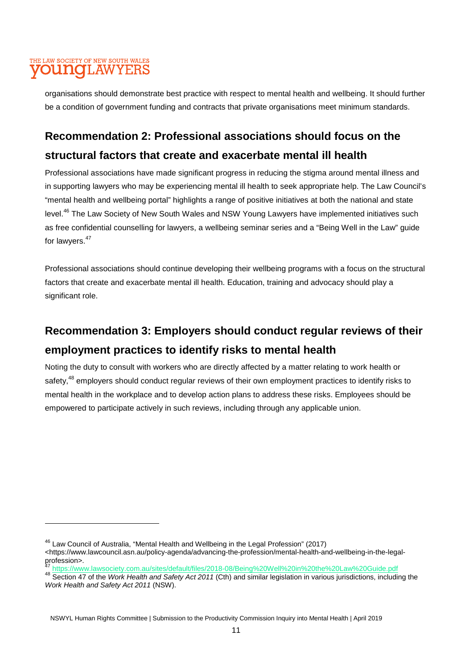#### THE LAW SOCIETY OF NEW SOUTH WALES youngLAWYERS

organisations should demonstrate best practice with respect to mental health and wellbeing. It should further be a condition of government funding and contracts that private organisations meet minimum standards.

### **Recommendation 2: Professional associations should focus on the structural factors that create and exacerbate mental ill health**

Professional associations have made significant progress in reducing the stigma around mental illness and in supporting lawyers who may be experiencing mental ill health to seek appropriate help. The Law Council's "mental health and wellbeing portal" highlights a range of positive initiatives at both the national and state level.<sup>46</sup> The Law Society of New South Wales and NSW Young Lawyers have implemented initiatives such as free confidential counselling for lawyers, a wellbeing seminar series and a "Being Well in the Law" guide for lawyers.<sup>47</sup>

Professional associations should continue developing their wellbeing programs with a focus on the structural factors that create and exacerbate mental ill health. Education, training and advocacy should play a significant role.

## **Recommendation 3: Employers should conduct regular reviews of their employment practices to identify risks to mental health**

Noting the duty to consult with workers who are directly affected by a matter relating to work health or safety,<sup>48</sup> employers should conduct regular reviews of their own employment practices to identify risks to mental health in the workplace and to develop action plans to address these risks. Employees should be empowered to participate actively in such reviews, including through any applicable union.

<sup>46</sup> Law Council of Australia, "Mental Health and Wellbeing in the Legal Profession" (2017) <https://www.lawcouncil.asn.au/policy-agenda/advancing-the-profession/mental-health-and-wellbeing-in-the-legalprofession>.

<sup>47</sup> https://www.lawsociety.com.au/sites/default/files/2018-08/Being%20Well%20in%20the%20Law%20Guide.pdf

<sup>48</sup> Section 47 of the *Work Health and Safety Act 2011* (Cth) and similar legislation in various jurisdictions, including the *Work Health and Safety Act 2011* (NSW).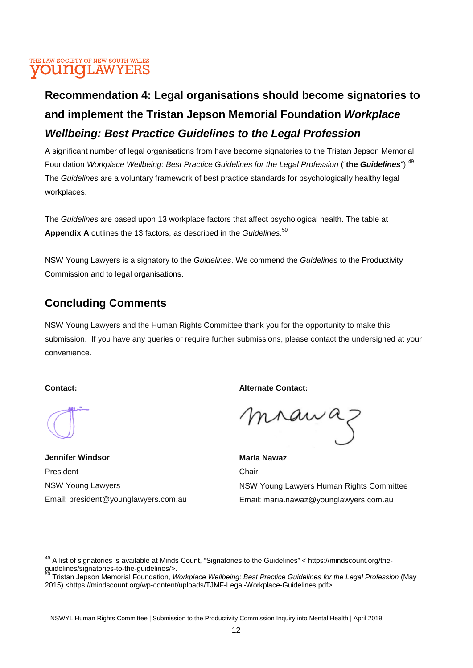## **Recommendation 4: Legal organisations should become signatories to and implement the Tristan Jepson Memorial Foundation** *Workplace Wellbeing: Best Practice Guidelines to the Legal Profession*

A significant number of legal organisations from have become signatories to the Tristan Jepson Memorial Foundation *Workplace Wellbeing: Best Practice Guidelines for the Legal Profession* ("**the** *Guidelines*").<sup>49</sup> The *Guidelines* are a voluntary framework of best practice standards for psychologically healthy legal workplaces.

The *Guidelines* are based upon 13 workplace factors that affect psychological health. The table at **Appendix A** outlines the 13 factors, as described in the *Guidelines*. 50

NSW Young Lawyers is a signatory to the *Guidelines*. We commend the *Guidelines* to the Productivity Commission and to legal organisations.

#### **Concluding Comments**

NSW Young Lawyers and the Human Rights Committee thank you for the opportunity to make this submission. If you have any queries or require further submissions, please contact the undersigned at your convenience.

#### **Contact:**

**Jennifer Windsor**  President NSW Young Lawyers Email: president@younglawyers.com.au **Alternate Contact:** 

mrawaz

**Maria Nawaz Chair** NSW Young Lawyers Human Rights Committee Email: maria.nawaz@younglawyers.com.au

<sup>&</sup>lt;sup>49</sup> A list of signatories is available at Minds Count, "Signatories to the Guidelines" < https://mindscount.org/theguidelines/signatories-to-the-guidelines/>.

<sup>50</sup> Tristan Jepson Memorial Foundation, *Workplace Wellbeing: Best Practice Guidelines for the Legal Profession* (May 2015) <https://mindscount.org/wp-content/uploads/TJMF-Legal-Workplace-Guidelines.pdf>.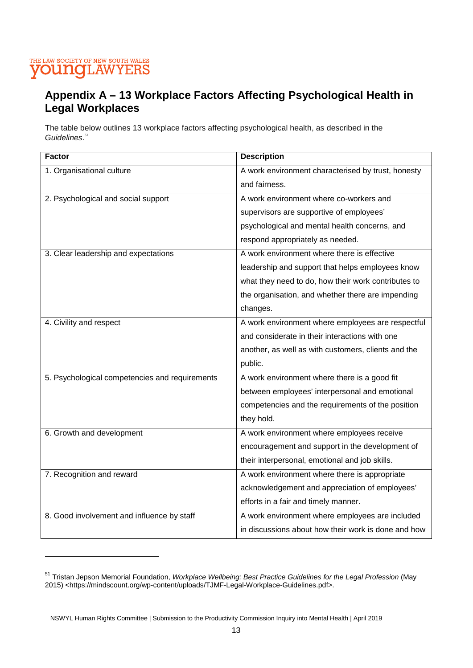## THE LAW SOCIETY OF NEW SOUTH WALES

#### **Appendix A – 13 Workplace Factors Affecting Psychological Health in Legal Workplaces**

The table below outlines 13 workplace factors affecting psychological health, as described in the *Guidelines*. 51

| <b>Factor</b>                                  | <b>Description</b>                                  |
|------------------------------------------------|-----------------------------------------------------|
| 1. Organisational culture                      | A work environment characterised by trust, honesty  |
|                                                | and fairness.                                       |
| 2. Psychological and social support            | A work environment where co-workers and             |
|                                                | supervisors are supportive of employees'            |
|                                                | psychological and mental health concerns, and       |
|                                                | respond appropriately as needed.                    |
| 3. Clear leadership and expectations           | A work environment where there is effective         |
|                                                | leadership and support that helps employees know    |
|                                                | what they need to do, how their work contributes to |
|                                                | the organisation, and whether there are impending   |
|                                                | changes.                                            |
| 4. Civility and respect                        | A work environment where employees are respectful   |
|                                                | and considerate in their interactions with one      |
|                                                | another, as well as with customers, clients and the |
|                                                | public.                                             |
| 5. Psychological competencies and requirements | A work environment where there is a good fit        |
|                                                | between employees' interpersonal and emotional      |
|                                                | competencies and the requirements of the position   |
|                                                | they hold.                                          |
| 6. Growth and development                      | A work environment where employees receive          |
|                                                | encouragement and support in the development of     |
|                                                | their interpersonal, emotional and job skills.      |
| 7. Recognition and reward                      | A work environment where there is appropriate       |
|                                                | acknowledgement and appreciation of employees'      |
|                                                | efforts in a fair and timely manner.                |
| 8. Good involvement and influence by staff     | A work environment where employees are included     |
|                                                | in discussions about how their work is done and how |

<sup>51</sup> Tristan Jepson Memorial Foundation, *Workplace Wellbeing: Best Practice Guidelines for the Legal Profession* (May 2015) <https://mindscount.org/wp-content/uploads/TJMF-Legal-Workplace-Guidelines.pdf>.

NSWYL Human Rights Committee | Submission to the Productivity Commission Inquiry into Mental Health | April 2019